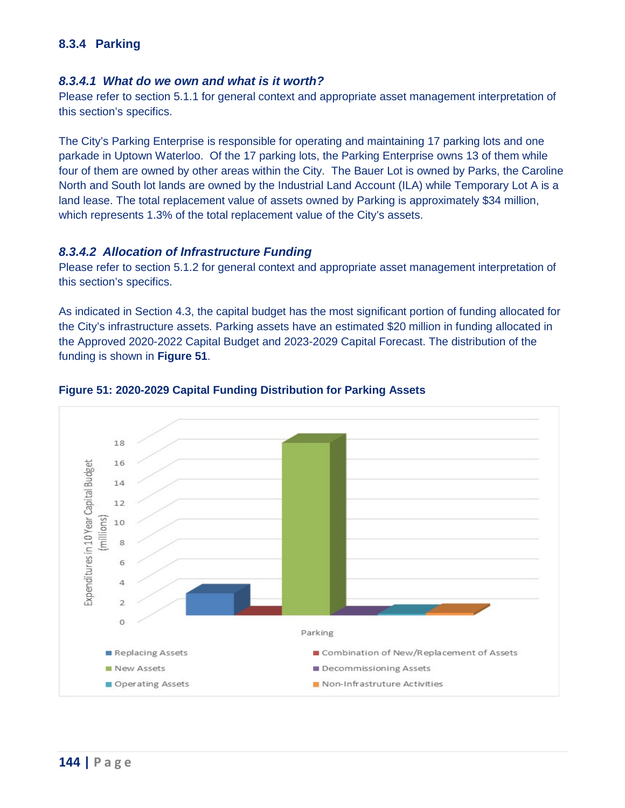# **8.3.4 Parking**

#### *8.3.4.1 What do we own and what is it worth?*

 Please refer to section 5.1.1 for general context and appropriate asset management interpretation of this section's specifics.

 parkade in Uptown Waterloo. Of the 17 parking lots, the Parking Enterprise owns 13 of them while four of them are owned by other areas within the City. The Bauer Lot is owned by Parks, the Caroline which represents 1.3% of the total replacement value of the City's assets. The City's Parking Enterprise is responsible for operating and maintaining 17 parking lots and one North and South lot lands are owned by the Industrial Land Account (ILA) while Temporary Lot A is a land lease. The total replacement value of assets owned by Parking is approximately \$34 million,

#### *8.3.4.2 Allocation of Infrastructure Funding*

 Please refer to section 5.1.2 for general context and appropriate asset management interpretation of this section's specifics.

As indicated in Section 4.3, the capital budget has the most significant portion of funding allocated for the City's infrastructure assets. Parking assets have an estimated \$20 million in funding allocated in the Approved 2020-2022 Capital Budget and 2023-2029 Capital Forecast. The distribution of the funding is shown in **[Figure 51](#page-0-0)**.



#### <span id="page-0-0"></span>**Figure 51: 2020-2029 Capital Funding Distribution for Parking Assets**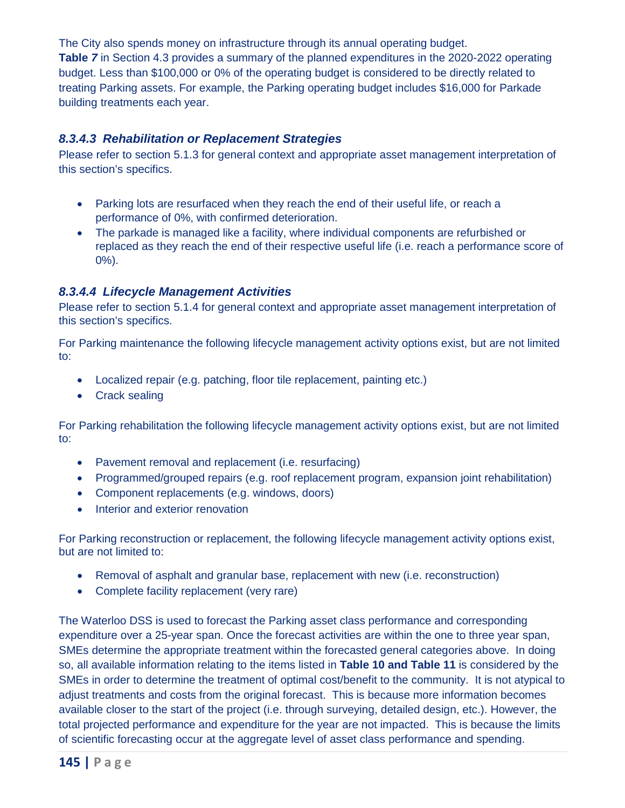The City also spends money on infrastructure through its annual operating budget.

 building treatments each year. **Table** *7* in Section 4.3 provides a summary of the planned expenditures in the 2020-2022 operating budget. Less than \$100,000 or 0% of the operating budget is considered to be directly related to treating Parking assets. For example, the Parking operating budget includes \$16,000 for Parkade

## *8.3.4.3 Rehabilitation or Replacement Strategies*

 Please refer to section 5.1.3 for general context and appropriate asset management interpretation of this section's specifics.

- Parking lots are resurfaced when they reach the end of their useful life, or reach a performance of 0%, with confirmed deterioration.
- replaced as they reach the end of their respective useful life (i.e. reach a performance score of • The parkade is managed like a facility, where individual components are refurbished or 0%).

## *8.3.4.4 Lifecycle Management Activities*

 Please refer to section 5.1.4 for general context and appropriate asset management interpretation of this section's specifics.

For Parking maintenance the following lifecycle management activity options exist, but are not limited to:

- Localized repair (e.g. patching, floor tile replacement, painting etc.)
- Crack sealing

For Parking rehabilitation the following lifecycle management activity options exist, but are not limited to:

- Pavement removal and replacement (i.e. resurfacing)
- Programmed/grouped repairs (e.g. roof replacement program, expansion joint rehabilitation)
- Component replacements (e.g. windows, doors)
- Interior and exterior renovation

For Parking reconstruction or replacement, the following lifecycle management activity options exist, but are not limited to:

- Removal of asphalt and granular base, replacement with new (i.e. reconstruction)
- Complete facility replacement (very rare)

 The Waterloo DSS is used to forecast the Parking asset class performance and corresponding SMEs determine the appropriate treatment within the forecasted general categories above. In doing so, all available information relating to the items listed in **Table 10 and Table 11** is considered by the SMEs in order to determine the treatment of optimal cost/benefit to the community. It is not atypical to adjust treatments and costs from the original forecast. This is because more information becomes available closer to the start of the project (i.e. through surveying, detailed design, etc.). However, the total projected performance and expenditure for the year are not impacted. This is because the limits expenditure over a 25-year span. Once the forecast activities are within the one to three year span, of scientific forecasting occur at the aggregate level of asset class performance and spending.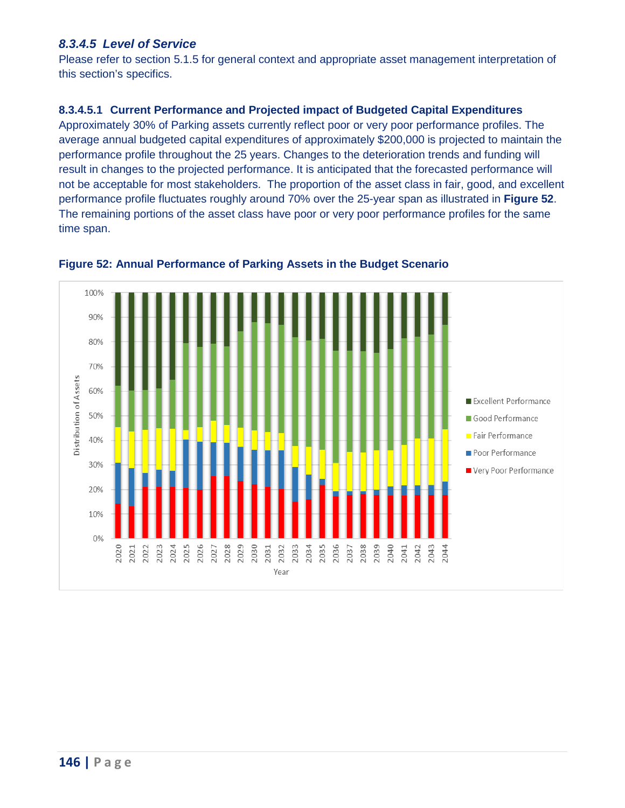# *8.3.4.5 Level of Service*

 Please refer to section 5.1.5 for general context and appropriate asset management interpretation of this section's specifics.

## **8.3.4.5.1 Current Performance and Projected impact of Budgeted Capital Expenditures**

 performance profile throughout the 25 years. Changes to the deterioration trends and funding will result in changes to the projected performance. It is anticipated that the forecasted performance will performance profile fluctuates roughly around 70% over the 25-year span as illustrated in **[Figure 52](#page-2-0)**. The remaining portions of the asset class have poor or very poor performance profiles for the same Approximately 30% of Parking assets currently reflect poor or very poor performance profiles. The average annual budgeted capital expenditures of approximately \$200,000 is projected to maintain the not be acceptable for most stakeholders. The proportion of the asset class in fair, good, and excellent time span.



<span id="page-2-0"></span> **Figure 52: Annual Performance of Parking Assets in the Budget Scenario**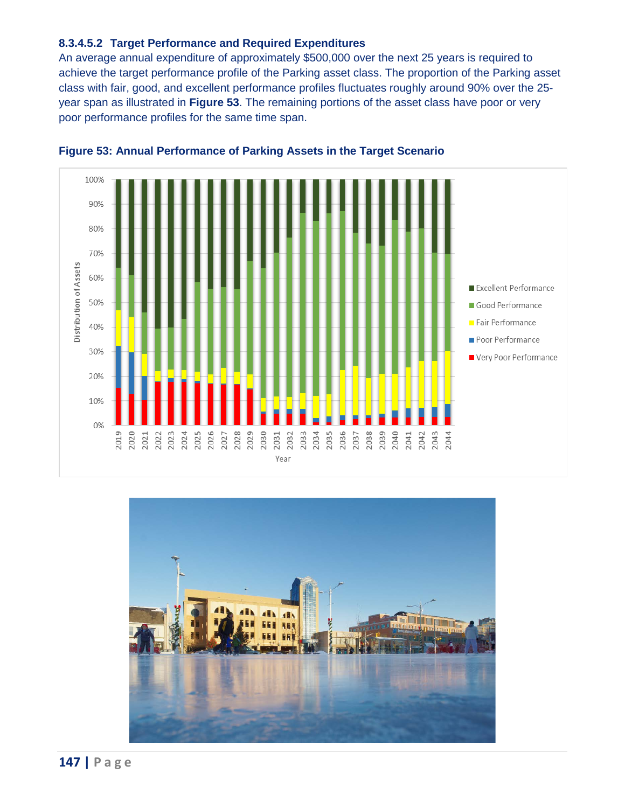#### **8.3.4.5.2 Target Performance and Required Expenditures**

 year span as illustrated in **[Figure 53](#page-3-0)**. The remaining portions of the asset class have poor or very poor performance profiles for the same time span. An average annual expenditure of approximately \$500,000 over the next 25 years is required to achieve the target performance profile of the Parking asset class. The proportion of the Parking asset class with fair, good, and excellent performance profiles fluctuates roughly around 90% over the 25



<span id="page-3-0"></span>

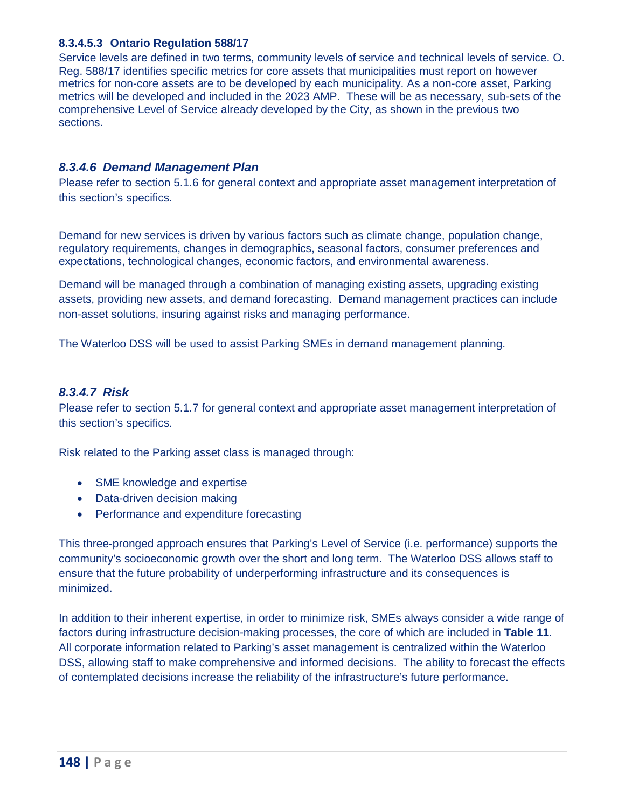#### **8.3.4.5.3 Ontario Regulation 588/17**

 Service levels are defined in two terms, community levels of service and technical levels of service. O. Reg. 588/17 identifies specific metrics for core assets that municipalities must report on however metrics will be developed and included in the 2023 AMP. These will be as necessary, sub-sets of the metrics for non-core assets are to be developed by each municipality. As a non-core asset, Parking comprehensive Level of Service already developed by the City, as shown in the previous two sections.

### *8.3.4.6 Demand Management Plan*

 Please refer to section 5.1.6 for general context and appropriate asset management interpretation of this section's specifics.

 expectations, technological changes, economic factors, and environmental awareness. Demand for new services is driven by various factors such as climate change, population change, regulatory requirements, changes in demographics, seasonal factors, consumer preferences and

 assets, providing new assets, and demand forecasting. Demand management practices can include Demand will be managed through a combination of managing existing assets, upgrading existing non-asset solutions, insuring against risks and managing performance.

The Waterloo DSS will be used to assist Parking SMEs in demand management planning.

## *8.3.4.7 Risk*

 Please refer to section 5.1.7 for general context and appropriate asset management interpretation of this section's specifics.

Risk related to the Parking asset class is managed through:

- SME knowledge and expertise
- Data-driven decision making
- Performance and expenditure forecasting

 community's socioeconomic growth over the short and long term. The Waterloo DSS allows staff to This three-pronged approach ensures that Parking's Level of Service (i.e. performance) supports the ensure that the future probability of underperforming infrastructure and its consequences is minimized.

 In addition to their inherent expertise, in order to minimize risk, SMEs always consider a wide range of DSS, allowing staff to make comprehensive and informed decisions. The ability to forecast the effects factors during infrastructure decision-making processes, the core of which are included in **Table 11**. All corporate information related to Parking's asset management is centralized within the Waterloo of contemplated decisions increase the reliability of the infrastructure's future performance.